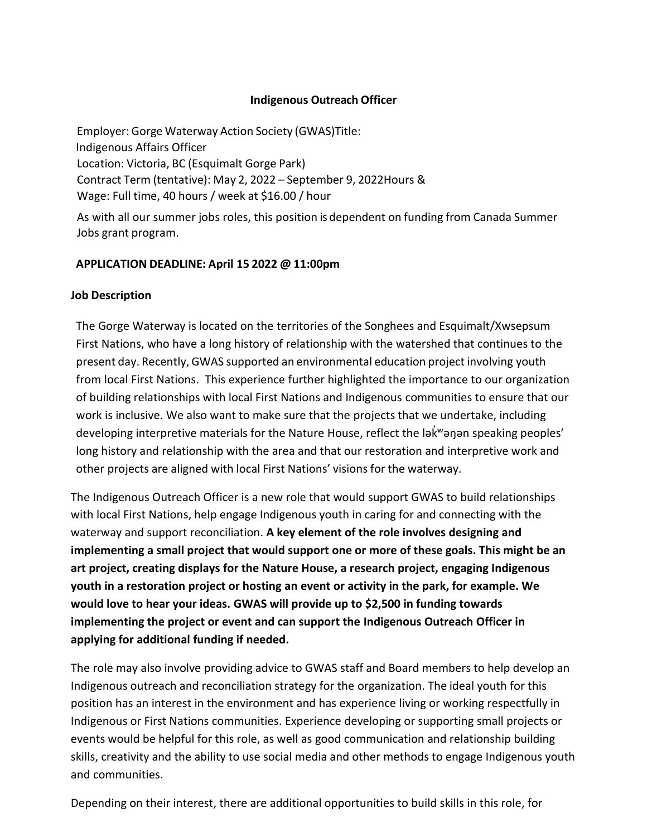### **Indigenous Outreach Officer**

Employer: Gorge Waterway Action Society (GWAS)Title: Indigenous Affairs Officer Location: Victoria, BC (Esquimalt Gorge Park) Contract Term (tentative): May 2, 2022 – September 9, 2022Hours & Wage: Full time, 40 hours / week at \$16.00 / hour

As with all our summer jobs roles, this position is dependent on funding from Canada Summer Jobs grant program.

### **APPLICATION DEADLINE: April 15 2022 @ 11:00pm**

### **Job Description**

The Gorge Waterway is located on the territories of the Songhees and Esquimalt/Xwsepsum First Nations, who have a long history of relationship with the watershed that continues to the present day. Recently, GWAS supported an environmental education project involving youth from local First Nations. This experience further highlighted the importance to our organization of building relationships with local First Nations and Indigenous communities to ensure that our work is inclusive. We also want to make sure that the projects that we undertake, including developing interpretive materials for the Nature House, reflect the lək̓ʷəŋən speaking peoples' long history and relationship with the area and that our restoration and interpretive work and other projects are aligned with local First Nations' visions for the waterway.

The Indigenous Outreach Officer is a new role that would support GWAS to build relationships with local First Nations, help engage Indigenous youth in caring for and connecting with the waterway and support reconciliation. **A key element of the role involves designing and implementing a small project that would support one or more of these goals. This might be an art project, creating displays for the Nature House, a research project, engaging Indigenous youth in a restoration project or hosting an event or activity in the park, for example. We would love to hear your ideas. GWAS will provide up to \$2,500 in funding towards implementing the project or event and can support the Indigenous Outreach Officer in applying for additional funding if needed.** 

The role may also involve providing advice to GWAS staff and Board members to help develop an Indigenous outreach and reconciliation strategy for the organization. The ideal youth for this position has an interest in the environment and has experience living or working respectfully in Indigenous or First Nations communities. Experience developing or supporting small projects or events would be helpful for this role, as well as good communication and relationship building skills, creativity and the ability to use social media and other methods to engage Indigenous youth and communities.

Depending on their interest, there are additional opportunities to build skills in this role, for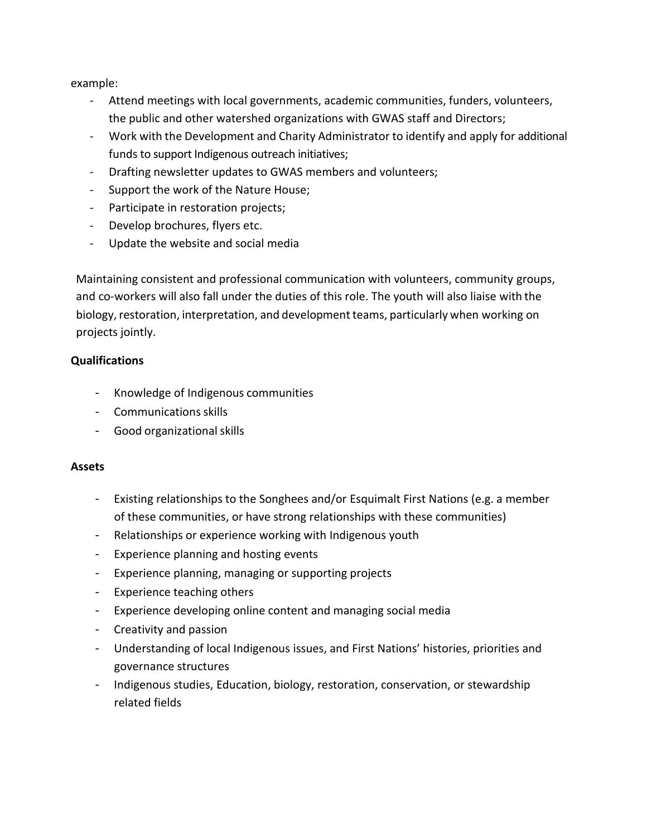example:

- Attend meetings with local governments, academic communities, funders, volunteers, the public and other watershed organizations with GWAS staff and Directors;
- Work with the Development and Charity Administrator to identify and apply for additional funds to support Indigenous outreach initiatives;
- Drafting newsletter updates to GWAS members and volunteers;
- Support the work of the Nature House;
- Participate in restoration projects;
- Develop brochures, flyers etc.
- Update the website and social media

Maintaining consistent and professional communication with volunteers, community groups, and co-workers will also fall under the duties of this role. The youth will also liaise with the biology, restoration, interpretation, and development teams, particularly when working on projects jointly.

## **Qualifications**

- Knowledge of Indigenous communities
- Communications skills
- Good organizational skills

### **Assets**

- Existing relationships to the Songhees and/or Esquimalt First Nations (e.g. a member of these communities, or have strong relationships with these communities)
- Relationships or experience working with Indigenous youth
- Experience planning and hosting events
- Experience planning, managing or supporting projects
- Experience teaching others
- Experience developing online content and managing social media
- Creativity and passion
- Understanding of local Indigenous issues, and First Nations' histories, priorities and governance structures
- Indigenous studies, Education, biology, restoration, conservation, or stewardship related fields